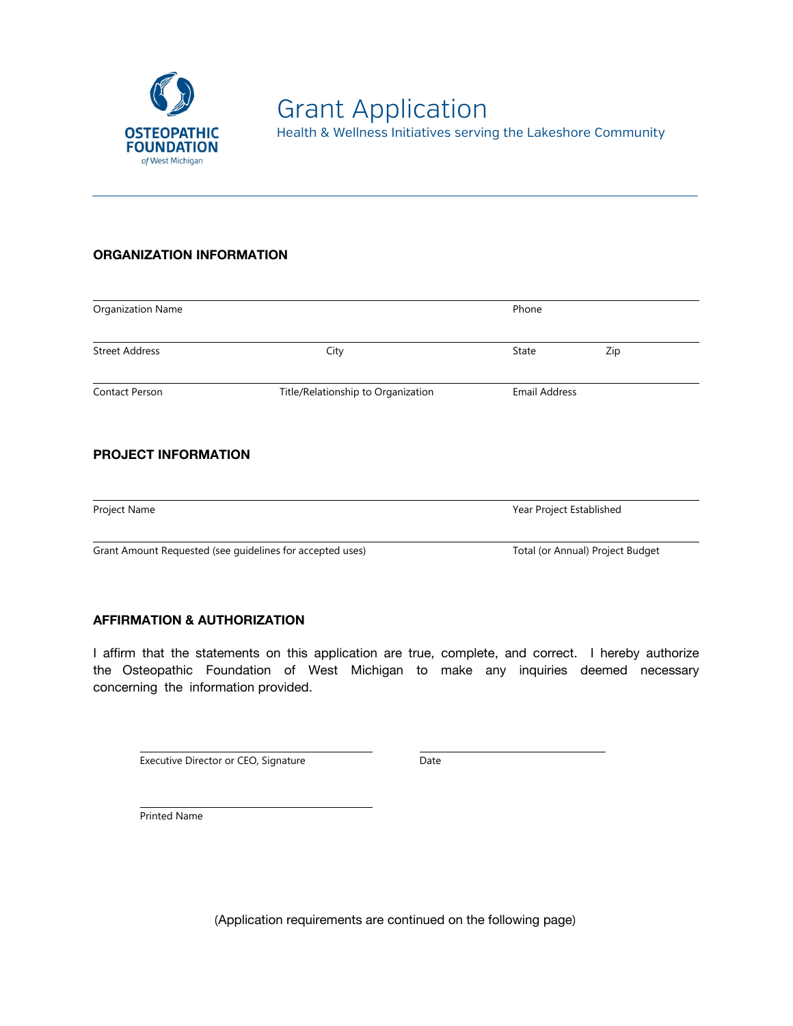

## **ORGANIZATION INFORMATION**

| Organization Name                                         |                                    | Phone                            |     |
|-----------------------------------------------------------|------------------------------------|----------------------------------|-----|
| <b>Street Address</b>                                     | City                               | State                            | Zip |
| Contact Person                                            | Title/Relationship to Organization | <b>Email Address</b>             |     |
| <b>PROJECT INFORMATION</b>                                |                                    |                                  |     |
| Project Name                                              |                                    | Year Project Established         |     |
| Grant Amount Requested (see guidelines for accepted uses) |                                    | Total (or Annual) Project Budget |     |

## **AFFIRMATION & AUTHORIZATION**

I affirm that the statements on this application are true, complete, and correct. I hereby authorize the Osteopathic Foundation of West Michigan to make any inquiries deemed necessary concerning the information provided.

Executive Director or CEO, Signature **Executive Date** 

Printed Name

(Application requirements are continued on the following page)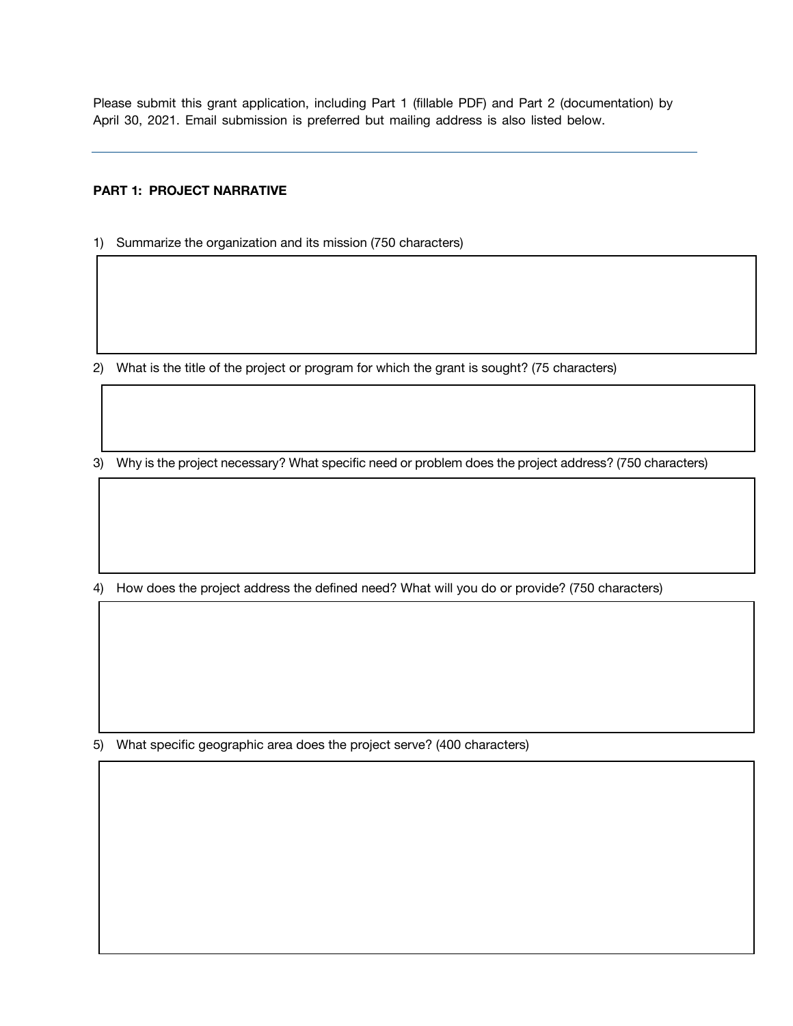Please submit this grant application, including Part 1 (fillable PDF) and Part 2 (documentation) by April 30, 2021. Email submission is preferred but mailing address is also listed below.

## **PART 1: PROJECT NARRATIVE**

1) Summarize the organization and its mission (750 characters)

2) What is the title of the project or program for which the grant is sought?  $(75 \text{ characters})$ 

3) Why is the project necessary? What specific need or problem does the project address? (750 characters)

4) How does the project address the defined need? What will you do or provide? (750 characters)

5) What specific geographic area does the project serve? (400 characters)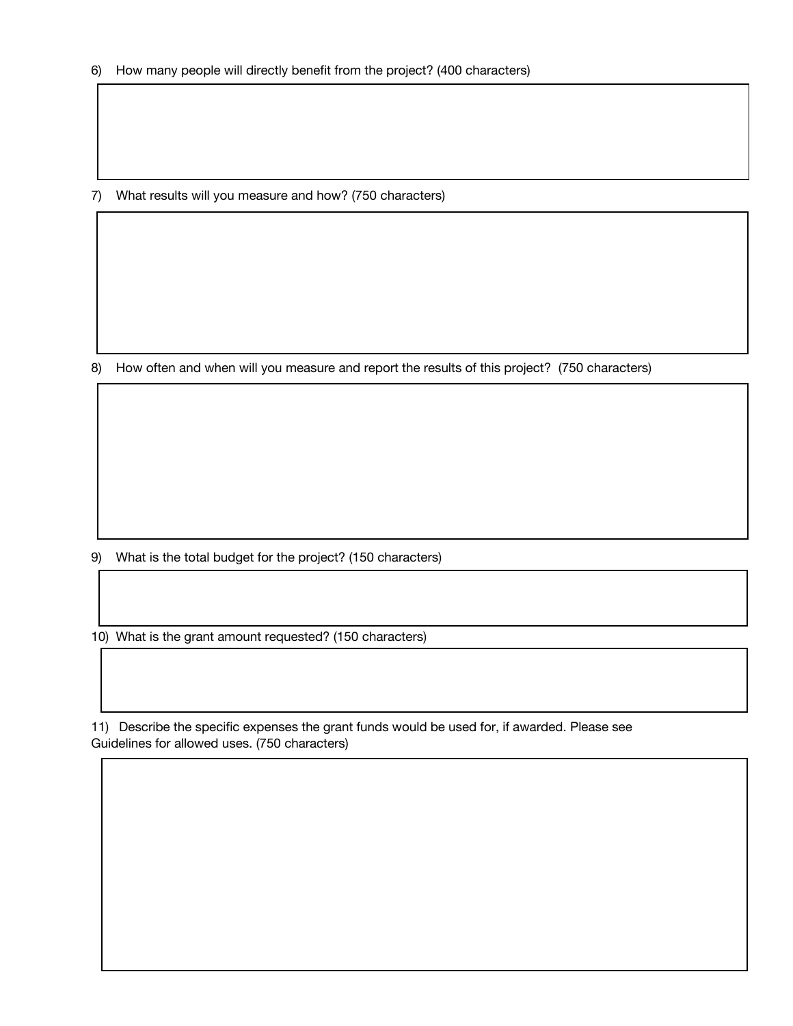7) What results will you measure and how? (750 characters)

8) How often and when will you measure and report the results of this project? (750 characters)

9) What is the total budget for the project? (150 characters)

10) What is the grant amount requested? (150 characters)

11) Describe the specific expenses the grant funds would be used for, if awarded. Please see Guidelines for allowed uses. (750 characters)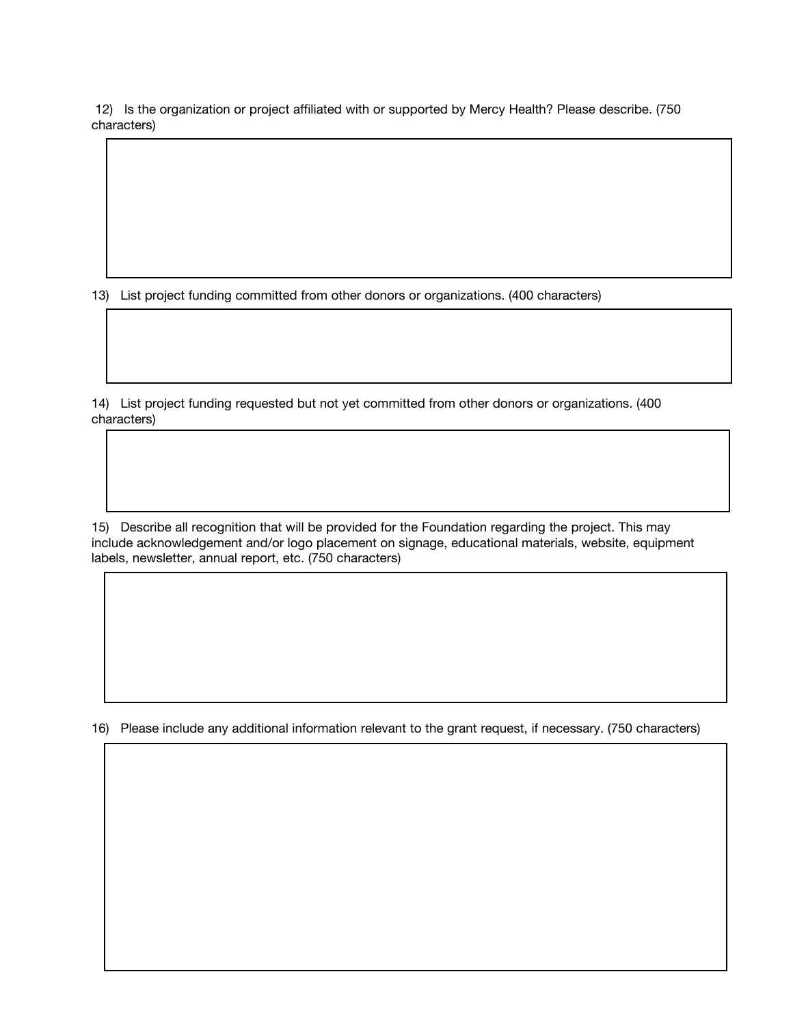12) Is the organization or project affiliated with or supported by Mercy Health? Please describe. (750 characters

13) List project funding committed from other donors or organizations. (400 characters)

14) List project funding requested but not yet committed from other donors or organizations. (400 characters

15) Describe all recognition that will be provided for the Foundation regarding the project. This may include acknowledgement and/or logo placement on signage, educational materials, website, equipment labels, newsletter, annual report, etc. (750 characters)

16) Please include any additional information relevant to the grant request, if necessary. (750 characters)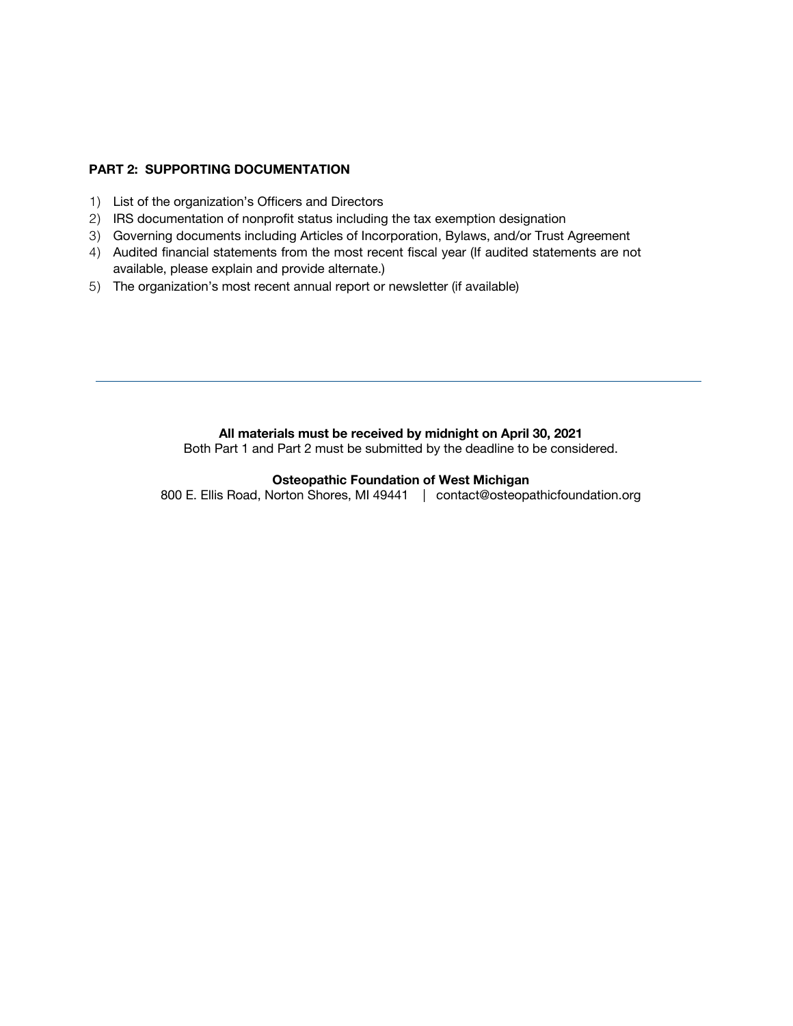### **PART 2: SUPPORTING DOCUMENTATION**

- 1) List of the organization's Officers and Directors
- 2) IRS documentation of nonprofit status including the tax exemption designation
- 3) Governing documents including Articles of Incorporation, Bylaws, and/or Trust Agreement
- 4) Audited financial statements from the most recent fiscal year (If audited statements are not available, please explain and provide alternate.)
- 5) The organization's most recent annual report or newsletter (if available)

#### **All materials must be received by midnight on April 30, 2021**

Both Part 1 and Part 2 must be submitted by the deadline to be considered.

### **Osteopathic Foundation of West Michigan**

800 E. Ellis Road, Norton Shores, MI 49441 | contact@osteopathicfoundation.org